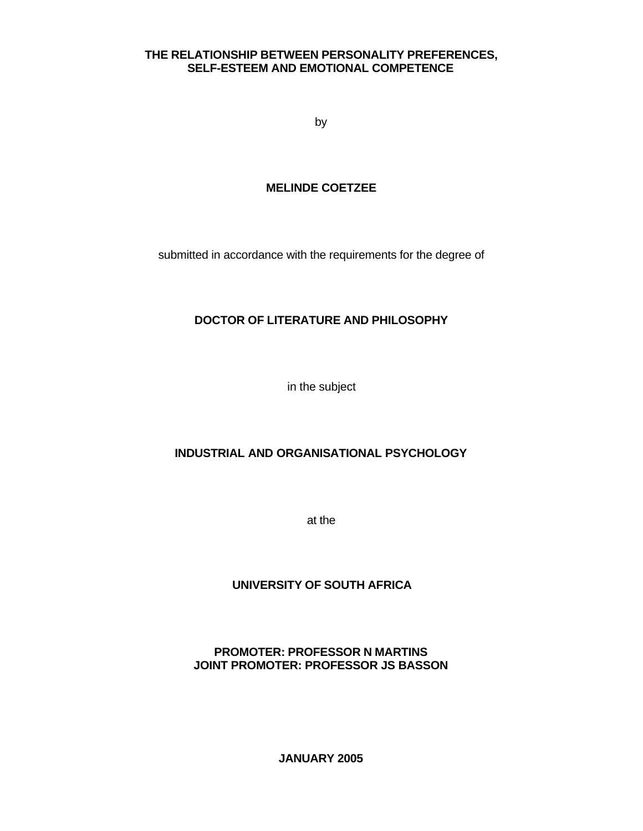## **THE RELATIONSHIP BETWEEN PERSONALITY PREFERENCES, SELF-ESTEEM AND EMOTIONAL COMPETENCE**

by

# **MELINDE COETZEE**

submitted in accordance with the requirements for the degree of

# **DOCTOR OF LITERATURE AND PHILOSOPHY**

in the subject

# **INDUSTRIAL AND ORGANISATIONAL PSYCHOLOGY**

at the

# **UNIVERSITY OF SOUTH AFRICA**

# **PROMOTER: PROFESSOR N MARTINS JOINT PROMOTER: PROFESSOR JS BASSON**

**JANUARY 2005**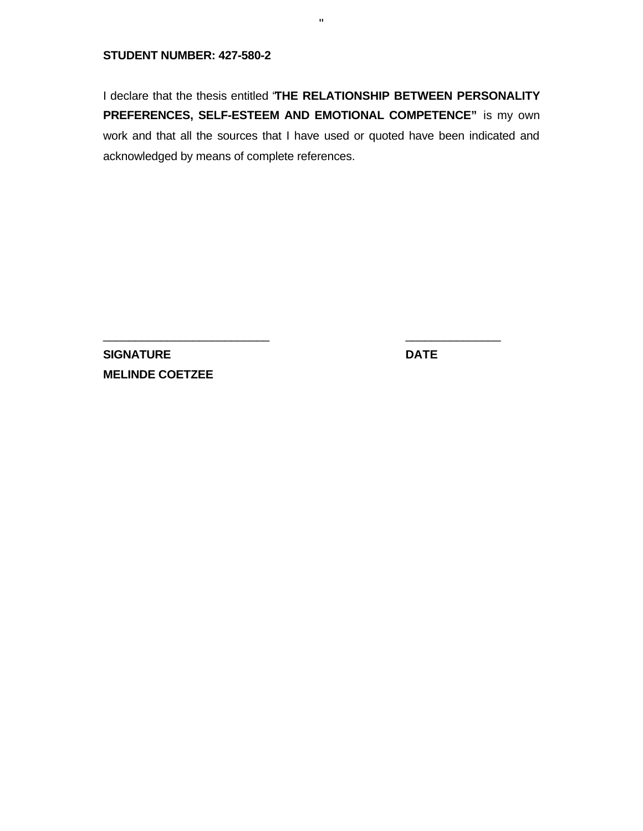#### **STUDENT NUMBER: 427-580-2**

I declare that the thesis entitled "**THE RELATIONSHIP BETWEEN PERSONALITY PREFERENCES, SELF-ESTEEM AND EMOTIONAL COMPETENCE"** is my own work and that all the sources that I have used or quoted have been indicated and acknowledged by means of complete references.

 $\frac{1}{2}$  , the contribution of the contribution of the contribution of the contribution of the contribution of the contribution of the contribution of the contribution of the contribution of the contribution of the contr

ii

**SIGNATURE DATE MELINDE COETZEE**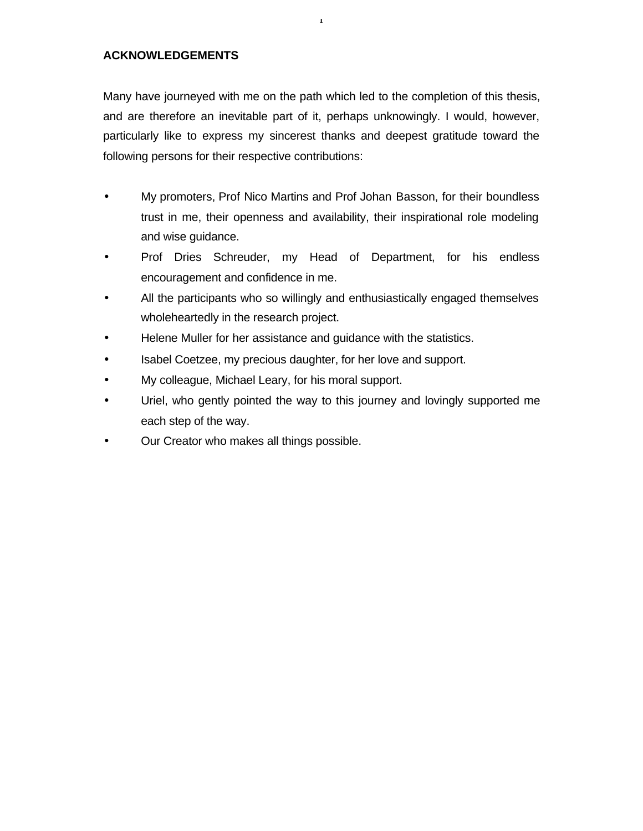### **ACKNOWLEDGEMENTS**

Many have journeyed with me on the path which led to the completion of this thesis, and are therefore an inevitable part of it, perhaps unknowingly. I would, however, particularly like to express my sincerest thanks and deepest gratitude toward the following persons for their respective contributions:

i

- My promoters, Prof Nico Martins and Prof Johan Basson, for their boundless trust in me, their openness and availability, their inspirational role modeling and wise guidance.
- Prof Dries Schreuder, my Head of Department, for his endless encouragement and confidence in me.
- All the participants who so willingly and enthusiastically engaged themselves wholeheartedly in the research project.
- Helene Muller for her assistance and guidance with the statistics.
- Isabel Coetzee, my precious daughter, for her love and support.
- My colleague, Michael Leary, for his moral support.
- Uriel, who gently pointed the way to this journey and lovingly supported me each step of the way.
- Our Creator who makes all things possible.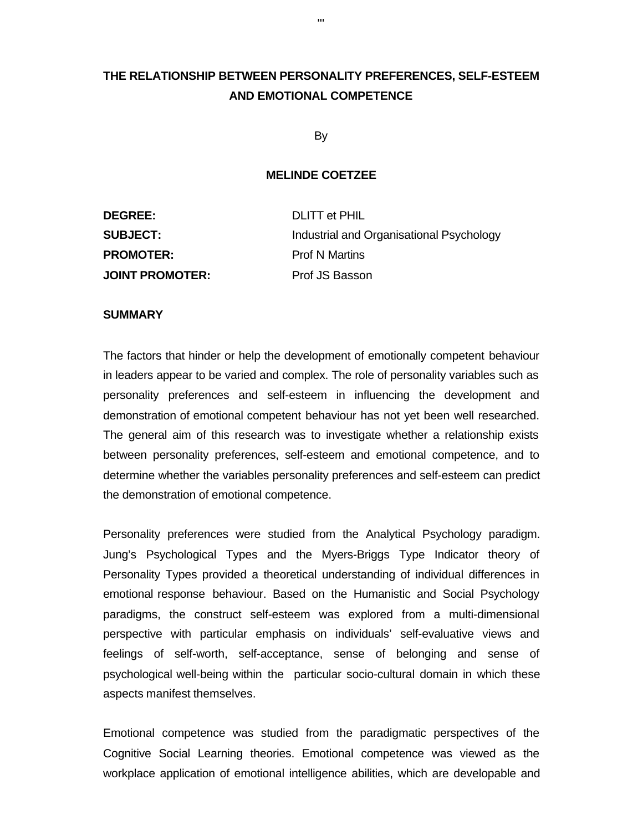# **THE RELATIONSHIP BETWEEN PERSONALITY PREFERENCES, SELF-ESTEEM AND EMOTIONAL COMPETENCE**

By

#### **MELINDE COETZEE**

| <b>DEGREE:</b>         | <b>DLITT et PHIL</b>                     |
|------------------------|------------------------------------------|
| <b>SUBJECT:</b>        | Industrial and Organisational Psychology |
| <b>PROMOTER:</b>       | <b>Prof N Martins</b>                    |
| <b>JOINT PROMOTER:</b> | Prof JS Basson                           |

#### **SUMMARY**

The factors that hinder or help the development of emotionally competent behaviour in leaders appear to be varied and complex. The role of personality variables such as personality preferences and self-esteem in influencing the development and demonstration of emotional competent behaviour has not yet been well researched. The general aim of this research was to investigate whether a relationship exists between personality preferences, self-esteem and emotional competence, and to determine whether the variables personality preferences and self-esteem can predict the demonstration of emotional competence.

Personality preferences were studied from the Analytical Psychology paradigm. Jung's Psychological Types and the Myers-Briggs Type Indicator theory of Personality Types provided a theoretical understanding of individual differences in emotional response behaviour. Based on the Humanistic and Social Psychology paradigms, the construct self-esteem was explored from a multi-dimensional perspective with particular emphasis on individuals' self-evaluative views and feelings of self-worth, self-acceptance, sense of belonging and sense of psychological well-being within the particular socio-cultural domain in which these aspects manifest themselves.

Emotional competence was studied from the paradigmatic perspectives of the Cognitive Social Learning theories. Emotional competence was viewed as the workplace application of emotional intelligence abilities, which are developable and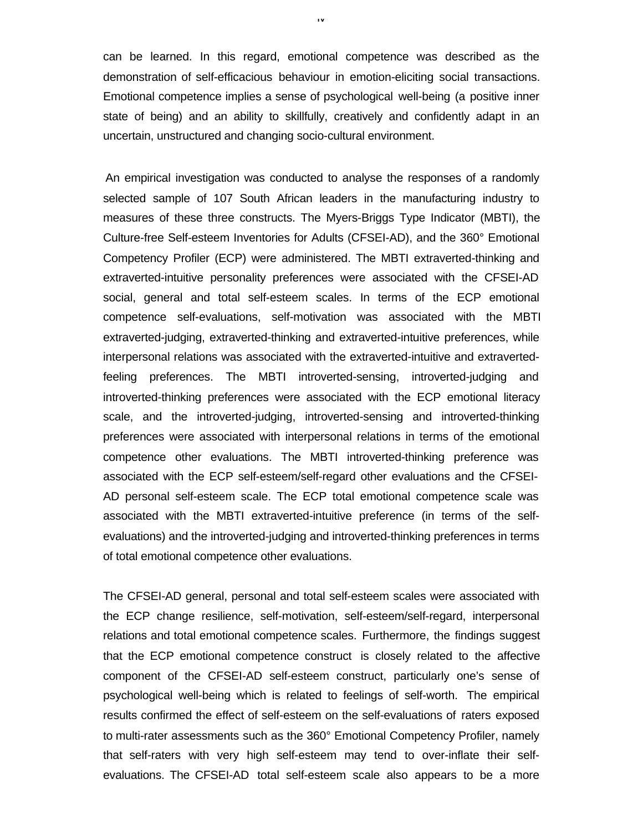can be learned. In this regard, emotional competence was described as the demonstration of self-efficacious behaviour in emotion-eliciting social transactions. Emotional competence implies a sense of psychological well-being (a positive inner state of being) and an ability to skillfully, creatively and confidently adapt in an uncertain, unstructured and changing socio-cultural environment.

iv

An empirical investigation was conducted to analyse the responses of a randomly selected sample of 107 South African leaders in the manufacturing industry to measures of these three constructs. The Myers-Briggs Type Indicator (MBTI), the Culture-free Self-esteem Inventories for Adults (CFSEI-AD), and the 360° Emotional Competency Profiler (ECP) were administered. The MBTI extraverted-thinking and extraverted-intuitive personality preferences were associated with the CFSEI-AD social, general and total self-esteem scales. In terms of the ECP emotional competence self-evaluations, self-motivation was associated with the MBTI extraverted-judging, extraverted-thinking and extraverted-intuitive preferences, while interpersonal relations was associated with the extraverted-intuitive and extravertedfeeling preferences. The MBTI introverted-sensing, introverted-judging and introverted-thinking preferences were associated with the ECP emotional literacy scale, and the introverted-judging, introverted-sensing and introverted-thinking preferences were associated with interpersonal relations in terms of the emotional competence other evaluations. The MBTI introverted-thinking preference was associated with the ECP self-esteem/self-regard other evaluations and the CFSEI-AD personal self-esteem scale. The ECP total emotional competence scale was associated with the MBTI extraverted-intuitive preference (in terms of the selfevaluations) and the introverted-judging and introverted-thinking preferences in terms of total emotional competence other evaluations.

The CFSEI-AD general, personal and total self-esteem scales were associated with the ECP change resilience, self-motivation, self-esteem/self-regard, interpersonal relations and total emotional competence scales. Furthermore, the findings suggest that the ECP emotional competence construct is closely related to the affective component of the CFSEI-AD self-esteem construct, particularly one's sense of psychological well-being which is related to feelings of self-worth. The empirical results confirmed the effect of self-esteem on the self-evaluations of raters exposed to multi-rater assessments such as the 360° Emotional Competency Profiler, namely that self-raters with very high self-esteem may tend to over-inflate their selfevaluations. The CFSEI-AD total self-esteem scale also appears to be a more